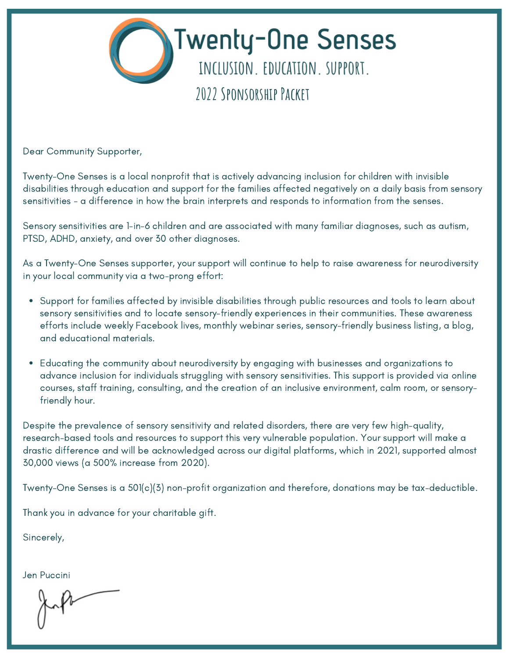

Dear Community Supporter,

Twenty-One Senses is a local nonprofit that is actively advancing inclusion for children with invisible disabilities through education and support for the families affected negatively on a daily basis from sensory sensitivities - a difference in how the brain interprets and responds to information from the senses.

Sensory sensitivities are 1-in-6 children and are associated with many familiar diagnoses, such as autism, PTSD, ADHD, anxiety, and over 30 other diagnoses.

As a Twenty-One Senses supporter, your support will continue to help to raise awareness for neurodiversity in your local community via a two-prong effort:

- Support for families affected by invisible disabilities through public resources and tools to learn about sensory sensitivities and to locate sensory-friendly experiences in their communities. These awareness efforts include weekly Facebook lives, monthly webinar series, sensory-friendly business listing, a blog, and educational materials.
- Educating the community about neurodiversity by engaging with businesses and organizations to advance inclusion for individuals struggling with sensory sensitivities. This support is provided via online courses, staff training, consulting, and the creation of an inclusive environment, calm room, or sensoryfriendly hour.

Despite the prevalence of sensory sensitivity and related disorders, there are very few high-quality, research-based tools and resources to support this very vulnerable population. Your support will make a drastic difference and will be acknowledged across our digital platforms, which in 2021, supported almost 30,000 views (a 500% increase from 2020).

Twenty-One Senses is a 501(c)(3) non-profit organization and therefore, donations may be tax-deductible.

Thank you in advance for your charitable gift.

Sincerely,

Jen Puccini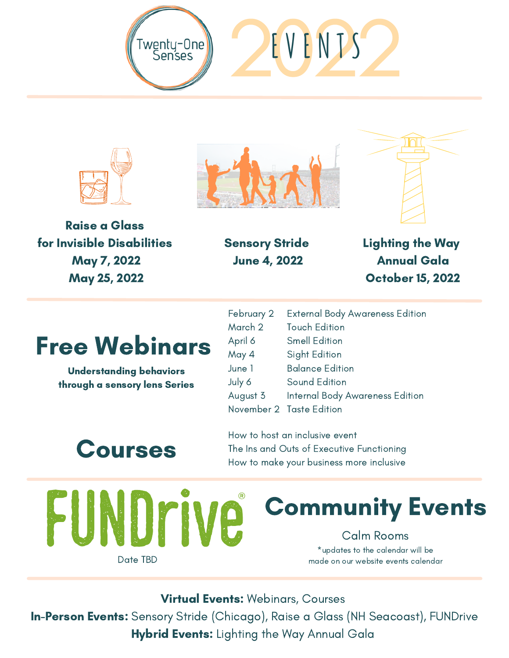







Raise a Glass for Invisible Disabilities May 7, 2022 May 25, 2022

Sensory Stride June 4, 2022

Lighting the Way Annual Gala October 15, 2022

### Free Webinars

Understanding behaviors through a sensory lens Series

February 2 March 2 April 6 May 4 June 1 July 6 August 3 November 2 Taste Edition External Body Awareness Edition Touch Edition Smell Edition Sight Edition Balance Edition Sound Edition Internal Body Awareness Edition

## Courses

HINI

How to host an inclusive event The Ins and Outs of Executive Functioning How to make your business more inclusive

**JP** 

Date TBD

# Community Events

Calm Rooms \*updates to the calendar will be made on our website events calendar

**Virtual Events: Webinars, Courses** 

In-Person Events: Sensory Stride (Chicago), Raise a Glass (NH Seacoast), FUNDrive Hybrid Events: Lighting the Way Annual Gala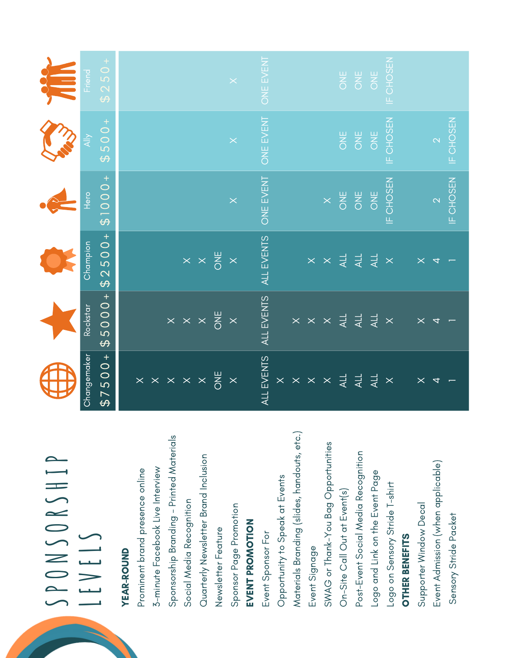| SPONSORSHIP<br>LEVELS                       |                                              |                            |                                                         |                  |                           |                     |
|---------------------------------------------|----------------------------------------------|----------------------------|---------------------------------------------------------|------------------|---------------------------|---------------------|
|                                             | Changemaker                                  | Rockstar                   | Champion                                                | Hero             | $\frac{\lambda}{\lambda}$ | Friend <sup>1</sup> |
|                                             | $$7500+$                                     | $5000 +$<br>$\Theta$       | $\overline{500}$<br>$\overline{\mathsf{C}}$<br>$\Theta$ | $^{+}$<br>0001\$ | $500+$<br>$\Theta$        | $$250+$             |
| <b>YEAR-ROUND</b>                           |                                              |                            |                                                         |                  |                           |                     |
| Prominent brand presence online             |                                              |                            |                                                         |                  |                           |                     |
| 3-minute Facebook Live Interview            | $\times$ $\times$ $\times$ $\times$ $\times$ |                            |                                                         |                  |                           |                     |
| Sponsorship Branding - Printed Materials    |                                              |                            |                                                         |                  |                           |                     |
| Social Media Recognition                    |                                              | $\times~\times~\times$     |                                                         |                  |                           |                     |
| Quarterly Newsletter Brand Inclusion        |                                              |                            | $\times \times \frac{11}{6}$                            |                  |                           |                     |
| Newsletter Feature                          | <b>SHO</b>                                   | ONE                        |                                                         |                  |                           |                     |
| Sponsor Page Promotion                      | $\overline{\mathsf{X}}$                      | $\overline{\times}$        | $\times$                                                | $\times$         |                           |                     |
| EVENT PROMOTION                             |                                              |                            |                                                         |                  |                           |                     |
| Event Sponsor For                           | ALL EVENTS                                   | ALL EVENTS                 | ALL EVENTS                                              | ONE EVENT        | ONE EVENT                 | ONE EVENT           |
| Opportunity to Speak at Events              | $\times$                                     |                            |                                                         |                  |                           |                     |
| Materials Branding (slides, handouts, etc.) | $\mathord{\times}$                           |                            |                                                         |                  |                           |                     |
| Event Signage                               | $\mathbf{X}$                                 | $\times$ $\times$ $\times$ | $\times$                                                |                  |                           |                     |
| SWAG or Thank-You Bag Opportunities         | $\times$                                     |                            | $\times$                                                | $\times$         |                           |                     |
| On-Site Call Out at Event(s)                | $\overline{41}$                              | $\overline{\mathcal{A}}$ . | $\overline{41}$                                         | <b>SINC</b>      | <b>SAC</b>                | <b>ONE</b>          |
| Post-Event Social Media Recognition         | $\overline{4}$                               | $\overline{4}$             | $\overline{4}$                                          | <b>SNC</b>       | <b>SHO</b>                | ONE                 |
| Logo and Link on the Event Page             | $\overline{4}$                               | $\overline{4}$             | $\overline{4}$                                          | ONE              | ONE                       | ONE                 |
| Logo on Sensory Stride T-shirt              | $\boldsymbol{\times}$                        | $\boldsymbol{\times}$      | $\times$                                                | IF CHOSEN        | IF CHOSEN                 | IF CHOSEN           |
| <b>OTHER BENEFITS</b>                       |                                              |                            |                                                         |                  |                           |                     |
| Supporter Window Decal                      | $\times$                                     |                            | $\times$                                                |                  |                           |                     |
| Event Admission (when applicable)           |                                              |                            | ₹                                                       | $\mathbb{R}$     | $\mathbb{C}$              |                     |
| Sensory Stride Packet                       |                                              |                            |                                                         | IF CHOSEN        | IF CHOSEN                 |                     |
|                                             |                                              |                            |                                                         |                  |                           |                     |

 $\blacktriangle$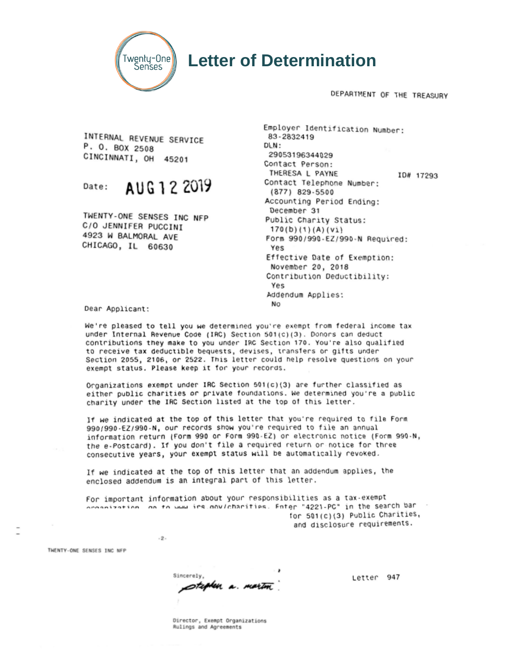

### **Letter of Determination**

DEPARTMENT OF THE TREASURY

INTERNAL REVENUE SERVICE P. O. BOX 2508 CINCINNATI. OH 45201

#### AUG 1 2 2019 Date:

TWENTY-ONE SENSES INC NFP C/O JENNIFER PUCCINI 4923 W BALMORAL AVE CHICAGO, IL 60630

Employer Identification Number: 83-2832419  $DLN:$ 29053196344029 Contact Person: THERESA L PAYNE ID# 17293 Contact Telephone Number: (877) 829-5500 Accounting Period Ending: December 31 Public Charity Status:  $170(b)(1)(A)(V1)$ Form 990/990-EZ/990-N Required: Yes Effective Date of Exemption: November 20, 2018 Contribution Deductibility: Yes Addendum Applies: **No** 

Dear Applicant:

We're pleased to tell you we determined you're exempt from federal income tax under Internal Revenue Code (IRC) Section 501(c)(3). Donors can deduct contributions they make to you under IRC Section 170. You're also qualified to receive tax deductible bequests, devises, transfers or gifts under Section 2055, 2106, or 2522. This letter could help resolve questions on your exempt status. Please keep it for your records.

Organizations exempt under IRC Section 501(c)(3) are further classified as either public charities or private foundations. We determined you're a public charity under the IRC Section listed at the top of this letter.

If we indicated at the top of this letter that you're required to file Form 990/990-EZ/990-N, our records show you're required to file an annual information return (Form 990 or Form 990-EZ) or electronic notice (Form 990-N, the e-Postcard). If you don't file a required return or notice for three consecutive years, your exempt status will be automatically revoked.

If we indicated at the top of this letter that an addendum applies, the enclosed addendum is an integral part of this letter.

For important information about your responsibilities as a tax-exempt anization, on to www.irs.nov/charities. Enter "4221-PC" in the search bar for 501(c)(3) Public Charities, and disclosure requirements.

THENTY-ONE SENSES TNC NEP

Sincerely. stephen a martin

 $-2$ 

Letter 947

Director, Exempt Organizations Rulings and Agreements